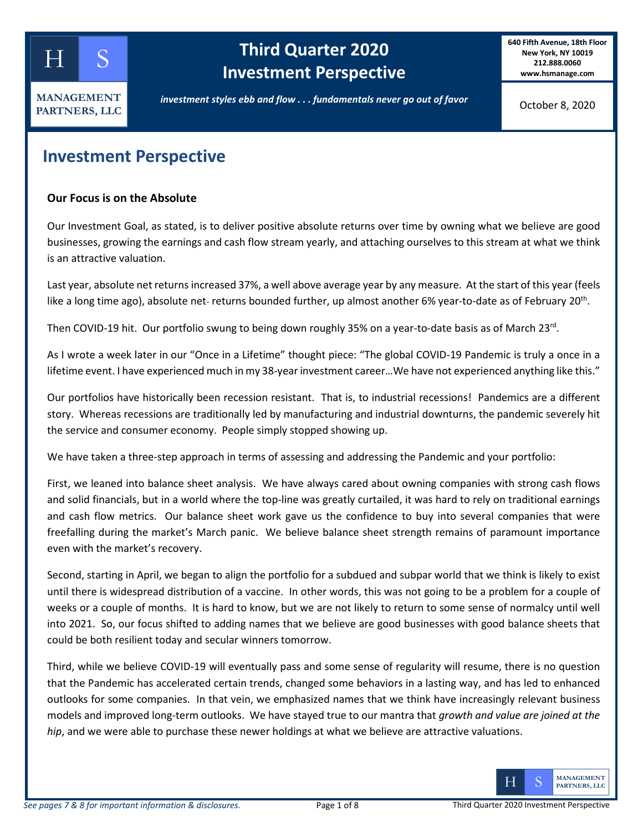

# **Third Quarter 2020 Investment Perspective**

**640 Fifth Avenue, 18th Floor New York, NY 10019 212.888.0060 www.hsmanage.com**

*investment styles ebb and flow . . . fundamentals never go out of favor*

October 8, 2020

### **Investment Perspective**

#### **Our Focus is on the Absolute**

Our Investment Goal, as stated, is to deliver positive absolute returns over time by owning what we believe are good businesses, growing the earnings and cash flow stream yearly, and attaching ourselves to this stream at what we think is an attractive valuation.

Last year, absolute net returns increased 37%, a well above average year by any measure. At the start of this year (feels like a long time ago), absolute net- returns bounded further, up almost another 6% year-to-date as of February 20<sup>th</sup>.

Then COVID-19 hit. Our portfolio swung to being down roughly 35% on a year-to-date basis as of March 23rd.

As I wrote a week later in our "Once in a Lifetime" thought piece: "The global COVID-19 Pandemic is truly a once in a lifetime event. I have experienced much in my 38-year investment career...We have not experienced anything like this."

Our portfolios have historically been recession resistant. That is, to industrial recessions! Pandemics are a different story. Whereas recessions are traditionally led by manufacturing and industrial downturns, the pandemic severely hit the service and consumer economy. People simply stopped showing up.

We have taken a three-step approach in terms of assessing and addressing the Pandemic and your portfolio:

First, we leaned into balance sheet analysis. We have always cared about owning companies with strong cash flows and solid financials, but in a world where the top-line was greatly curtailed, it was hard to rely on traditional earnings and cash flow metrics. Our balance sheet work gave us the confidence to buy into several companies that were freefalling during the market's March panic. We believe balance sheet strength remains of paramount importance even with the market's recovery.

Second, starting in April, we began to align the portfolio for a subdued and subpar world that we think is likely to exist until there is widespread distribution of a vaccine. In other words, this was not going to be a problem for a couple of weeks or a couple of months. It is hard to know, but we are not likely to return to some sense of normalcy until well into 2021. So, our focus shifted to adding names that we believe are good businesses with good balance sheets that could be both resilient today and secular winners tomorrow.

Third, while we believe COVID-19 will eventually pass and some sense of regularity will resume, there is no question that the Pandemic has accelerated certain trends, changed some behaviors in a lasting way, and has led to enhanced outlooks for some companies. In that vein, we emphasized names that we think have increasingly relevant business models and improved long-term outlooks. We have stayed true to our mantra that *growth and value are joined at the hip*, and we were able to purchase these newer holdings at what we believe are attractive valuations.

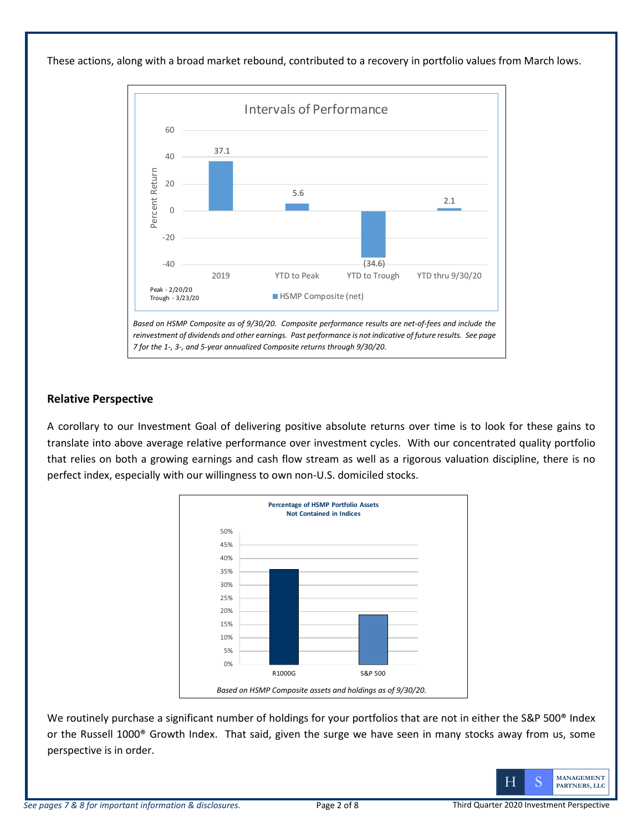These actions, along with a broad market rebound, contributed to a recovery in portfolio values from March lows.



#### **Relative Perspective**

A corollary to our Investment Goal of delivering positive absolute returns over time is to look for these gains to translate into above average relative performance over investment cycles. With our concentrated quality portfolio that relies on both a growing earnings and cash flow stream as well as a rigorous valuation discipline, there is no perfect index, especially with our willingness to own non-U.S. domiciled stocks.



We routinely purchase a significant number of holdings for your portfolios that are not in either the S&P 500<sup>®</sup> Index or the Russell 1000® Growth Index. That said, given the surge we have seen in many stocks away from us, some perspective is in order.

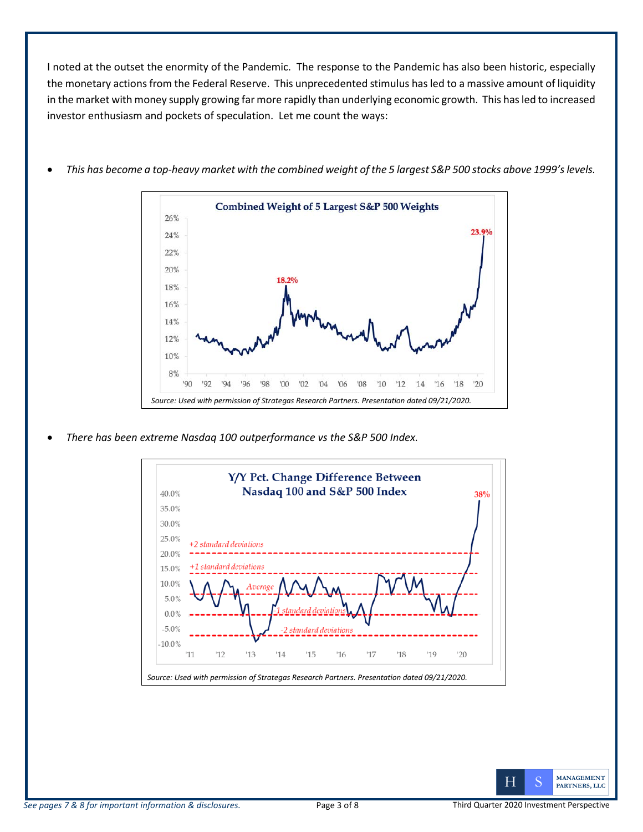I noted at the outset the enormity of the Pandemic. The response to the Pandemic has also been historic, especially the monetary actions from the Federal Reserve. This unprecedented stimulus hasled to a massive amount of liquidity in the market with money supply growing far more rapidly than underlying economic growth. This has led to increased investor enthusiasm and pockets of speculation. Let me count the ways:



• *This has become a top-heavy market with the combined weight of the 5 largest S&P 500 stocks above 1999's levels.*

• *There has been extreme Nasdaq 100 outperformance vs the S&P 500 Index.*



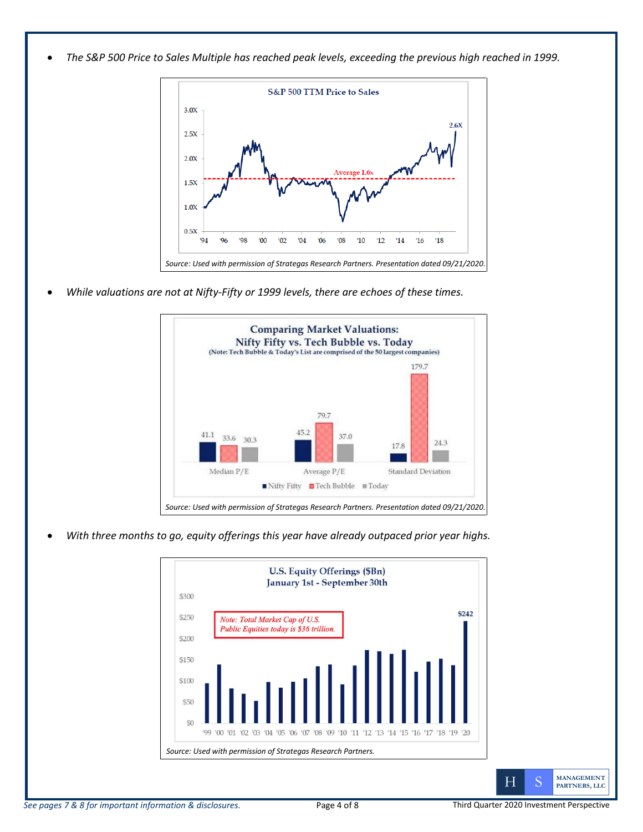• *The S&P 500 Price to Sales Multiple has reached peak levels, exceeding the previous high reached in 1999.*



• *While valuations are not at Nifty-Fifty or 1999 levels, there are echoes of these times.*



• *With three months to go, equity offerings this year have already outpaced prior year highs.*

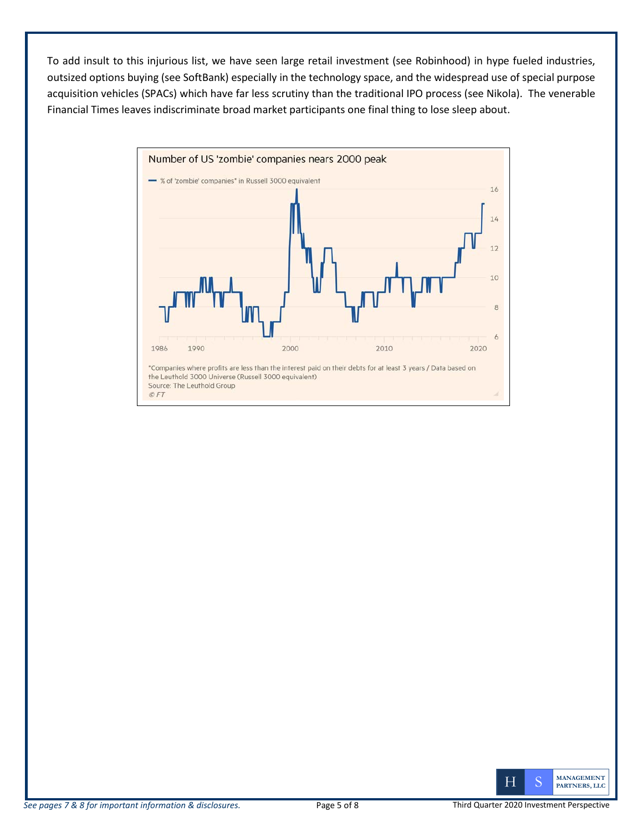To add insult to this injurious list, we have seen large retail investment (see Robinhood) in hype fueled industries, outsized options buying (see SoftBank) especially in the technology space, and the widespread use of special purpose acquisition vehicles (SPACs) which have far less scrutiny than the traditional IPO process (see Nikola). The venerable Financial Times leaves indiscriminate broad market participants one final thing to lose sleep about.



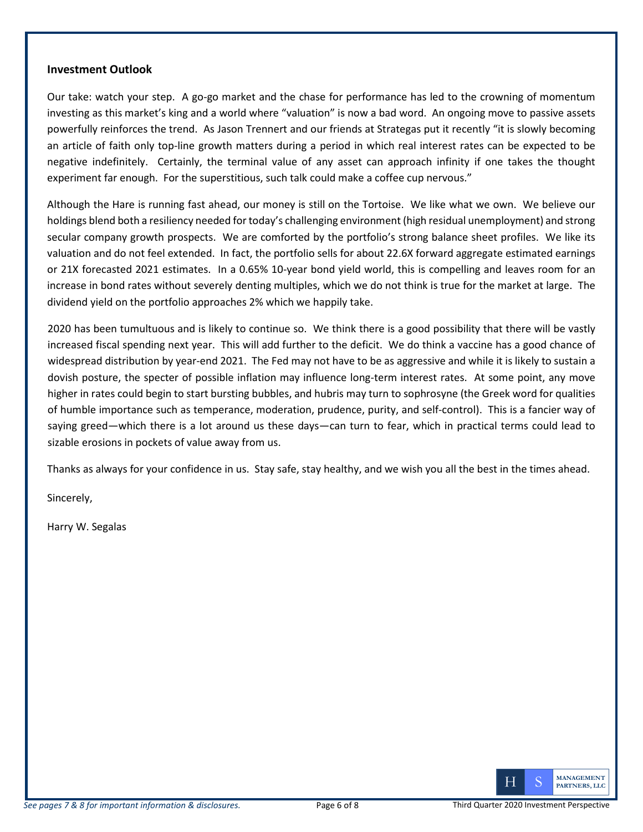#### **Investment Outlook**

Our take: watch your step. A go-go market and the chase for performance has led to the crowning of momentum investing as this market's king and a world where "valuation" is now a bad word. An ongoing move to passive assets powerfully reinforces the trend. As Jason Trennert and our friends at Strategas put it recently "it is slowly becoming an article of faith only top-line growth matters during a period in which real interest rates can be expected to be negative indefinitely. Certainly, the terminal value of any asset can approach infinity if one takes the thought experiment far enough. For the superstitious, such talk could make a coffee cup nervous."

Although the Hare is running fast ahead, our money is still on the Tortoise. We like what we own. We believe our holdings blend both a resiliency needed for today's challenging environment (high residual unemployment) and strong secular company growth prospects. We are comforted by the portfolio's strong balance sheet profiles. We like its valuation and do not feel extended. In fact, the portfolio sells for about 22.6X forward aggregate estimated earnings or 21X forecasted 2021 estimates. In a 0.65% 10-year bond yield world, this is compelling and leaves room for an increase in bond rates without severely denting multiples, which we do not think is true for the market at large. The dividend yield on the portfolio approaches 2% which we happily take.

2020 has been tumultuous and is likely to continue so. We think there is a good possibility that there will be vastly increased fiscal spending next year. This will add further to the deficit. We do think a vaccine has a good chance of widespread distribution by year-end 2021. The Fed may not have to be as aggressive and while it is likely to sustain a dovish posture, the specter of possible inflation may influence long-term interest rates. At some point, any move higher in rates could begin to start bursting bubbles, and hubris may turn to sophrosyne (the Greek word for qualities of humble importance such as temperance, moderation, prudence, purity, and self-control). This is a fancier way of saying greed—which there is a lot around us these days—can turn to fear, which in practical terms could lead to sizable erosions in pockets of value away from us.

Thanks as always for your confidence in us. Stay safe, stay healthy, and we wish you all the best in the times ahead.

Sincerely,

Harry W. Segalas

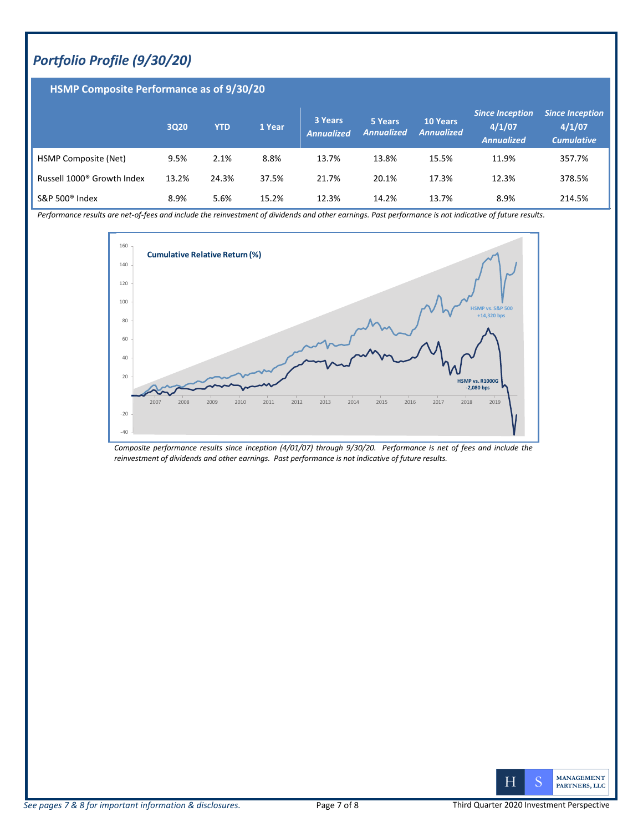## *Portfolio Profile (9/30/20)*

### **HSMP Composite Performance as of 9/30/20**

|                                        | <b>3Q20</b> | <b>YTD</b> | 1 Year | 3 Years<br><b>Annualized</b> | 5 Years<br><b>Annualized</b> | <b>10 Years</b><br><b>Annualized</b> | <b>Since Inception</b><br>4/1/07<br><b>Annualized</b> | <b>Since Inception</b><br>4/1/07<br><b>Cumulative</b> |
|----------------------------------------|-------------|------------|--------|------------------------------|------------------------------|--------------------------------------|-------------------------------------------------------|-------------------------------------------------------|
| HSMP Composite (Net)                   | 9.5%        | 2.1%       | 8.8%   | 13.7%                        | 13.8%                        | 15.5%                                | 11.9%                                                 | 357.7%                                                |
| Russell 1000 <sup>®</sup> Growth Index | 13.2%       | 24.3%      | 37.5%  | 21.7%                        | 20.1%                        | 17.3%                                | 12.3%                                                 | 378.5%                                                |
| S&P 500 $^{\circ}$ Index               | 8.9%        | 5.6%       | 15.2%  | 12.3%                        | 14.2%                        | 13.7%                                | 8.9%                                                  | 214.5%                                                |

*Performance results are net-of-fees and include the reinvestment of dividends and other earnings. Past performance is not indicative of future results.* 



*Composite performance results since inception (4/01/07) through 9/30/20. Performance is net of fees and include the reinvestment of dividends and other earnings. Past performance is not indicative of future results.*